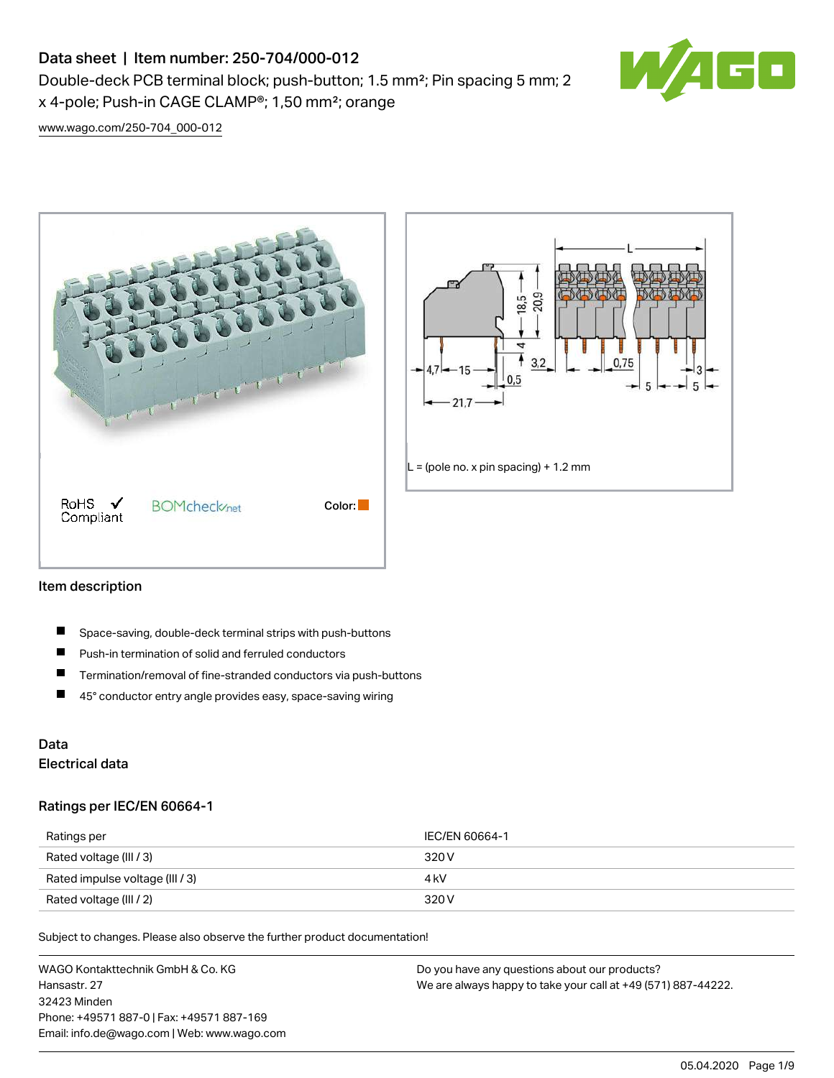# Data sheet | Item number: 250-704/000-012

Double-deck PCB terminal block; push-button; 1.5 mm²; Pin spacing 5 mm; 2 x 4-pole; Push-in CAGE CLAMP®; 1,50 mm²; orange



[www.wago.com/250-704\\_000-012](http://www.wago.com/250-704_000-012)





### Item description

- П Space-saving, double-deck terminal strips with push-buttons
- $\blacksquare$ Push-in termination of solid and ferruled conductors
- $\blacksquare$ Termination/removal of fine-stranded conductors via push-buttons
- $\blacksquare$ 45° conductor entry angle provides easy, space-saving wiring

## Data Electrical data

### Ratings per IEC/EN 60664-1

| Ratings per                     | IEC/EN 60664-1 |
|---------------------------------|----------------|
| Rated voltage (III / 3)         | 320 V          |
| Rated impulse voltage (III / 3) | 4 kV           |
| Rated voltage (III / 2)         | 320 V          |

Subject to changes. Please also observe the further product documentation!

WAGO Kontakttechnik GmbH & Co. KG Hansastr. 27 32423 Minden Phone: +49571 887-0 | Fax: +49571 887-169 Email: info.de@wago.com | Web: www.wago.com Do you have any questions about our products? We are always happy to take your call at +49 (571) 887-44222.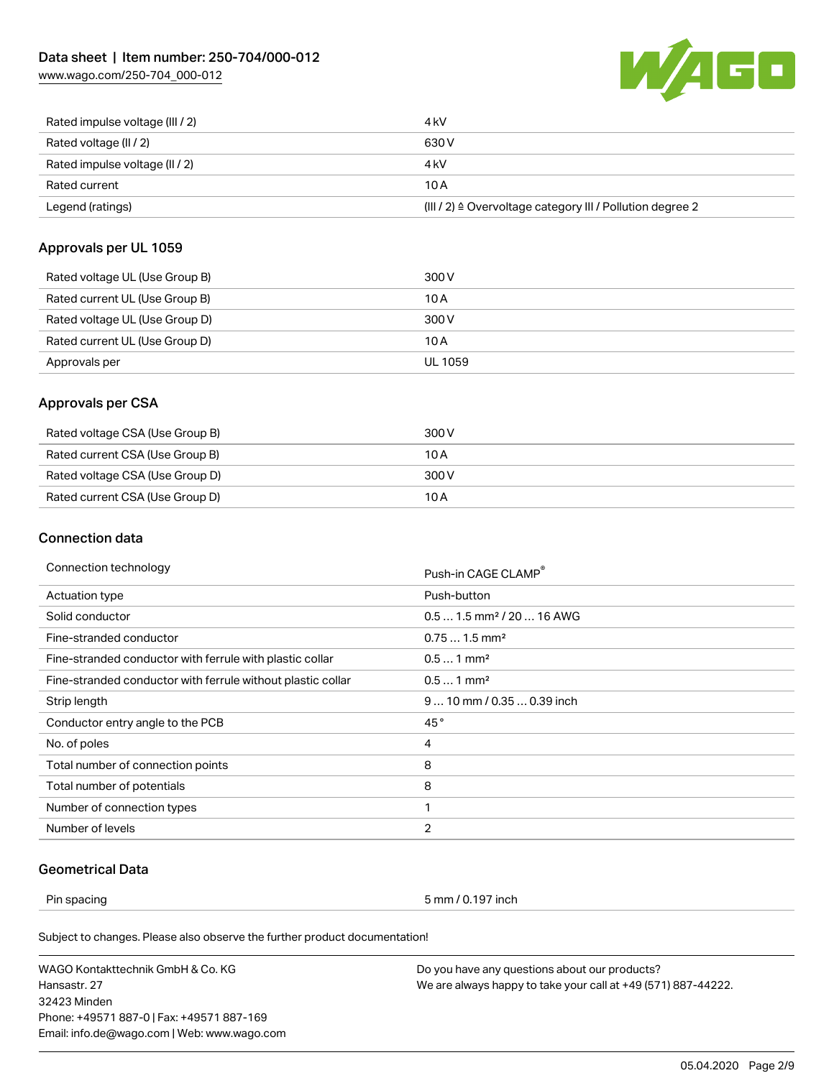[www.wago.com/250-704\\_000-012](http://www.wago.com/250-704_000-012)



| Rated impulse voltage (III / 2) | 4 kV                                                      |
|---------------------------------|-----------------------------------------------------------|
| Rated voltage (II / 2)          | 630 V                                                     |
| Rated impulse voltage (II / 2)  | 4 kV                                                      |
| Rated current                   | 10 A                                                      |
| Legend (ratings)                | (III / 2) ≙ Overvoltage category III / Pollution degree 2 |

### Approvals per UL 1059

| Rated voltage UL (Use Group B) | 300 V   |
|--------------------------------|---------|
| Rated current UL (Use Group B) | 10 A    |
| Rated voltage UL (Use Group D) | 300 V   |
| Rated current UL (Use Group D) | 10 A    |
| Approvals per                  | UL 1059 |

## Approvals per CSA

| Rated voltage CSA (Use Group B) | 300 V |
|---------------------------------|-------|
| Rated current CSA (Use Group B) | 10 A  |
| Rated voltage CSA (Use Group D) | 300 V |
| Rated current CSA (Use Group D) | 10 A  |

## Connection data

| Connection technology                                       | Push-in CAGE CLAMP®                   |
|-------------------------------------------------------------|---------------------------------------|
| Actuation type                                              | Push-button                           |
| Solid conductor                                             | $0.51.5$ mm <sup>2</sup> / 20  16 AWG |
| Fine-stranded conductor                                     | $0.751.5$ mm <sup>2</sup>             |
| Fine-stranded conductor with ferrule with plastic collar    | $0.51$ mm <sup>2</sup>                |
| Fine-stranded conductor with ferrule without plastic collar | $0.51$ mm <sup>2</sup>                |
| Strip length                                                | $910$ mm / 0.35  0.39 inch            |
| Conductor entry angle to the PCB                            | 45°                                   |
| No. of poles                                                | 4                                     |
| Total number of connection points                           | 8                                     |
| Total number of potentials                                  | 8                                     |
| Number of connection types                                  | 1                                     |
| Number of levels                                            | 2                                     |

## Geometrical Data

Pin spacing 5 mm / 0.197 inch

Subject to changes. Please also observe the further product documentation!

WAGO Kontakttechnik GmbH & Co. KG Hansastr. 27 32423 Minden Phone: +49571 887-0 | Fax: +49571 887-169 Email: info.de@wago.com | Web: www.wago.com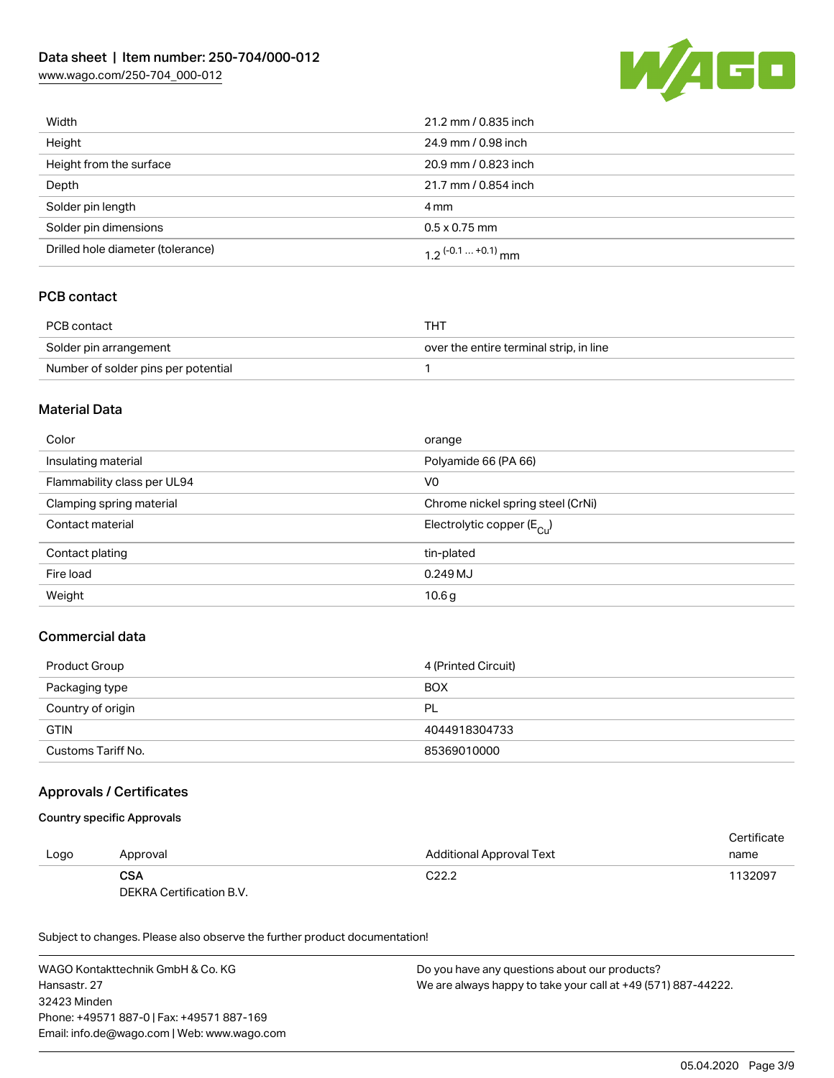## Data sheet | Item number: 250-704/000-012

[www.wago.com/250-704\\_000-012](http://www.wago.com/250-704_000-012)



| Width                             | 21.2 mm / 0.835 inch  |
|-----------------------------------|-----------------------|
| Height                            | 24.9 mm / 0.98 inch   |
| Height from the surface           | 20.9 mm / 0.823 inch  |
| Depth                             | 21.7 mm / 0.854 inch  |
| Solder pin length                 | 4 mm                  |
| Solder pin dimensions             | $0.5 \times 0.75$ mm  |
| Drilled hole diameter (tolerance) | 1.2 $(-0.1  +0.1)$ mm |

## PCB contact

| PCB contact                         | THT                                     |
|-------------------------------------|-----------------------------------------|
| Solder pin arrangement              | over the entire terminal strip, in line |
| Number of solder pins per potential |                                         |

### Material Data

| Color                       | orange                                  |
|-----------------------------|-----------------------------------------|
| Insulating material         | Polyamide 66 (PA 66)                    |
| Flammability class per UL94 | V0                                      |
| Clamping spring material    | Chrome nickel spring steel (CrNi)       |
| Contact material            | Electrolytic copper ( $E_{\text{C1}}$ ) |
| Contact plating             | tin-plated                              |
| Fire load                   | $0.249$ MJ                              |
| Weight                      | 10.6 <sub>g</sub>                       |

## Commercial data

| Product Group      | 4 (Printed Circuit) |
|--------------------|---------------------|
| Packaging type     | <b>BOX</b>          |
| Country of origin  | <b>PL</b>           |
| <b>GTIN</b>        | 4044918304733       |
| Customs Tariff No. | 85369010000         |

### Approvals / Certificates

#### Country specific Approvals

|      |                          |                                 | Certificate |
|------|--------------------------|---------------------------------|-------------|
| Logo | Approval                 | <b>Additional Approval Text</b> | name        |
|      | <b>CSA</b>               | C <sub>22.2</sub>               | 1132097     |
|      | DEKRA Certification B.V. |                                 |             |

Subject to changes. Please also observe the further product documentation!

WAGO Kontakttechnik GmbH & Co. KG Hansastr. 27 32423 Minden Phone: +49571 887-0 | Fax: +49571 887-169 Email: info.de@wago.com | Web: www.wago.com Do you have any questions about our products? We are always happy to take your call at +49 (571) 887-44222.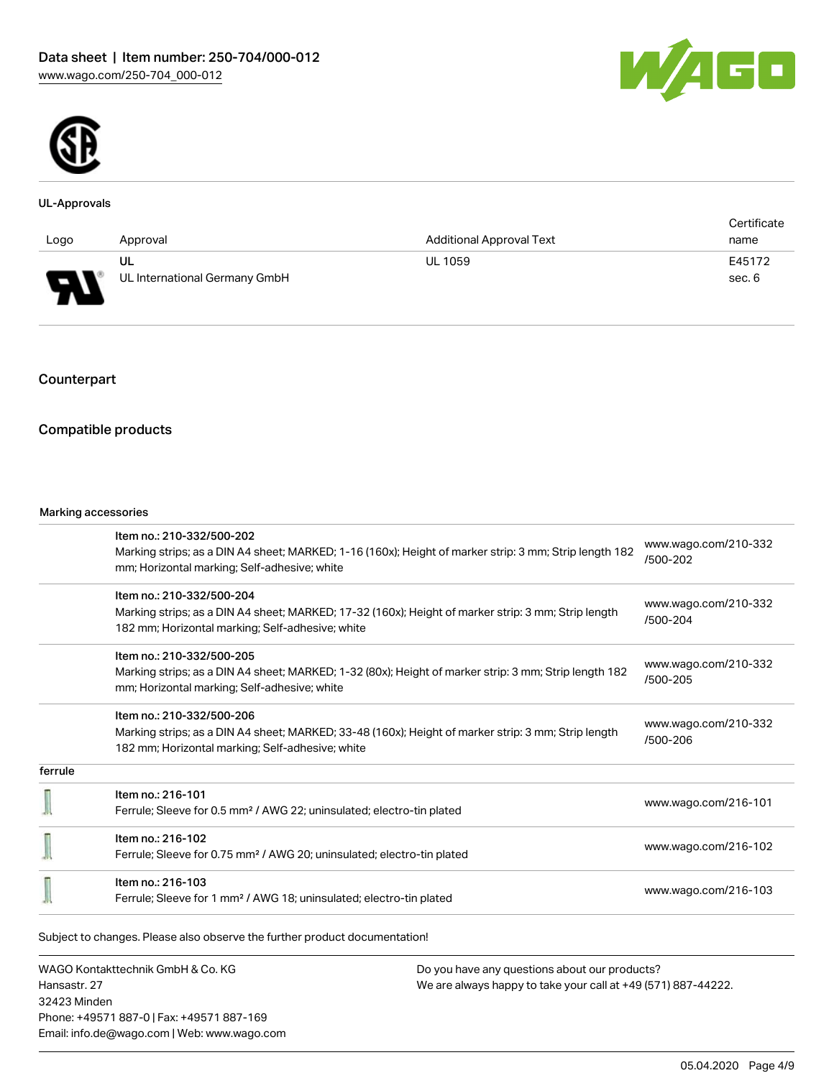



#### UL-Approvals

|                                                                |                               |                                 | Certificate |
|----------------------------------------------------------------|-------------------------------|---------------------------------|-------------|
| Logo                                                           | Approval                      | <b>Additional Approval Text</b> | name        |
|                                                                | UL                            | <b>UL 1059</b>                  | E45172      |
| $\Box$<br>$\overline{\phantom{a}}$<br>$\overline{\phantom{a}}$ | UL International Germany GmbH |                                 | sec. 6      |

## Counterpart

## Compatible products

#### Marking accessories

|         | Item no.: 210-332/500-202                                                                              |                                  |  |
|---------|--------------------------------------------------------------------------------------------------------|----------------------------------|--|
|         | Marking strips; as a DIN A4 sheet; MARKED; 1-16 (160x); Height of marker strip: 3 mm; Strip length 182 | www.wago.com/210-332<br>/500-202 |  |
|         | mm; Horizontal marking; Self-adhesive; white                                                           |                                  |  |
|         | Item no.: 210-332/500-204                                                                              |                                  |  |
|         | Marking strips; as a DIN A4 sheet; MARKED; 17-32 (160x); Height of marker strip: 3 mm; Strip length    | www.wago.com/210-332<br>/500-204 |  |
|         | 182 mm; Horizontal marking; Self-adhesive; white                                                       |                                  |  |
|         | Item no.: 210-332/500-205                                                                              |                                  |  |
|         | Marking strips; as a DIN A4 sheet; MARKED; 1-32 (80x); Height of marker strip: 3 mm; Strip length 182  | www.wago.com/210-332<br>/500-205 |  |
|         | mm; Horizontal marking; Self-adhesive; white                                                           |                                  |  |
|         | Item no.: 210-332/500-206                                                                              |                                  |  |
|         | Marking strips; as a DIN A4 sheet; MARKED; 33-48 (160x); Height of marker strip: 3 mm; Strip length    | www.wago.com/210-332<br>/500-206 |  |
|         | 182 mm; Horizontal marking; Self-adhesive; white                                                       |                                  |  |
| ferrule |                                                                                                        |                                  |  |
|         | Item no.: 216-101                                                                                      |                                  |  |
|         | Ferrule; Sleeve for 0.5 mm <sup>2</sup> / AWG 22; uninsulated; electro-tin plated                      | www.wago.com/216-101             |  |
|         | Item no.: 216-102                                                                                      |                                  |  |
|         | Ferrule; Sleeve for 0.75 mm <sup>2</sup> / AWG 20; uninsulated; electro-tin plated                     | www.wago.com/216-102             |  |
|         | Item no.: 216-103                                                                                      |                                  |  |
|         | Ferrule; Sleeve for 1 mm <sup>2</sup> / AWG 18; uninsulated; electro-tin plated                        | www.wago.com/216-103             |  |

WAGO Kontakttechnik GmbH & Co. KG Hansastr. 27 32423 Minden Phone: +49571 887-0 | Fax: +49571 887-169 Email: info.de@wago.com | Web: www.wago.com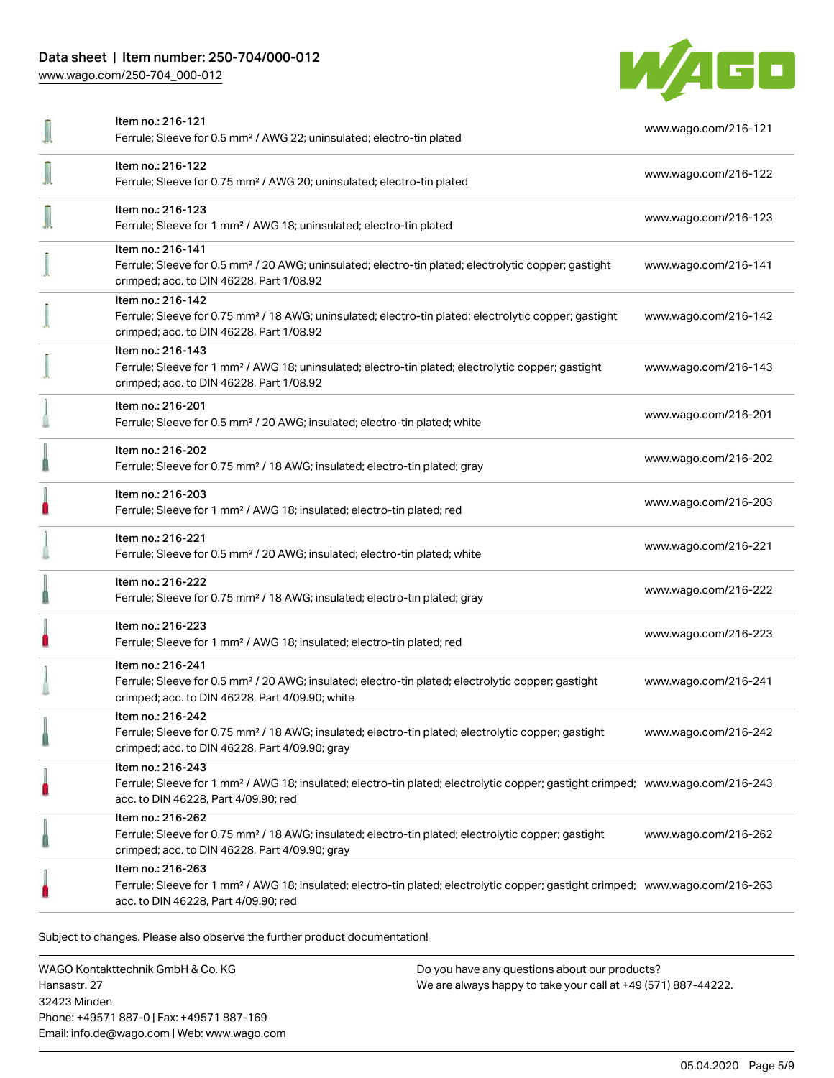## Data sheet | Item number: 250-704/000-012

[www.wago.com/250-704\\_000-012](http://www.wago.com/250-704_000-012)



| Item no.: 216-121<br>Ferrule; Sleeve for 0.5 mm <sup>2</sup> / AWG 22; uninsulated; electro-tin plated                                                                                                  | www.wago.com/216-121 |
|---------------------------------------------------------------------------------------------------------------------------------------------------------------------------------------------------------|----------------------|
| Item no.: 216-122<br>Ferrule; Sleeve for 0.75 mm <sup>2</sup> / AWG 20; uninsulated; electro-tin plated                                                                                                 | www.wago.com/216-122 |
| Item no.: 216-123<br>Ferrule; Sleeve for 1 mm <sup>2</sup> / AWG 18; uninsulated; electro-tin plated                                                                                                    | www.wago.com/216-123 |
| Item no.: 216-141<br>Ferrule; Sleeve for 0.5 mm <sup>2</sup> / 20 AWG; uninsulated; electro-tin plated; electrolytic copper; gastight<br>crimped; acc. to DIN 46228, Part 1/08.92                       | www.wago.com/216-141 |
| Item no.: 216-142<br>Ferrule; Sleeve for 0.75 mm <sup>2</sup> / 18 AWG; uninsulated; electro-tin plated; electrolytic copper; gastight<br>crimped; acc. to DIN 46228, Part 1/08.92                      | www.wago.com/216-142 |
| Item no.: 216-143<br>Ferrule; Sleeve for 1 mm <sup>2</sup> / AWG 18; uninsulated; electro-tin plated; electrolytic copper; gastight<br>crimped; acc. to DIN 46228, Part 1/08.92                         | www.wago.com/216-143 |
| Item no.: 216-201<br>Ferrule; Sleeve for 0.5 mm <sup>2</sup> / 20 AWG; insulated; electro-tin plated; white                                                                                             | www.wago.com/216-201 |
| Item no.: 216-202<br>Ferrule; Sleeve for 0.75 mm <sup>2</sup> / 18 AWG; insulated; electro-tin plated; gray                                                                                             | www.wago.com/216-202 |
| Item no.: 216-203<br>Ferrule; Sleeve for 1 mm <sup>2</sup> / AWG 18; insulated; electro-tin plated; red                                                                                                 | www.wago.com/216-203 |
| Item no.: 216-221<br>Ferrule; Sleeve for 0.5 mm <sup>2</sup> / 20 AWG; insulated; electro-tin plated; white                                                                                             | www.wago.com/216-221 |
| Item no.: 216-222<br>Ferrule; Sleeve for 0.75 mm <sup>2</sup> / 18 AWG; insulated; electro-tin plated; gray                                                                                             | www.wago.com/216-222 |
| Item no.: 216-223<br>Ferrule; Sleeve for 1 mm <sup>2</sup> / AWG 18; insulated; electro-tin plated; red                                                                                                 | www.wago.com/216-223 |
| Item no.: 216-241<br>Ferrule; Sleeve for 0.5 mm <sup>2</sup> / 20 AWG; insulated; electro-tin plated; electrolytic copper; gastight<br>crimped; acc. to DIN 46228, Part 4/09.90; white                  | www.wago.com/216-241 |
| Item no.: 216-242<br>Ferrule; Sleeve for 0.75 mm <sup>2</sup> / 18 AWG; insulated; electro-tin plated; electrolytic copper; gastight<br>crimped; acc. to DIN 46228, Part 4/09.90; gray                  | www.wago.com/216-242 |
| Item no.: 216-243<br>Ferrule; Sleeve for 1 mm <sup>2</sup> / AWG 18; insulated; electro-tin plated; electrolytic copper; gastight crimped; www.wago.com/216-243<br>acc. to DIN 46228, Part 4/09.90; red |                      |
| Item no.: 216-262<br>Ferrule; Sleeve for 0.75 mm <sup>2</sup> / 18 AWG; insulated; electro-tin plated; electrolytic copper; gastight<br>crimped; acc. to DIN 46228, Part 4/09.90; gray                  | www.wago.com/216-262 |
| Item no.: 216-263<br>Ferrule; Sleeve for 1 mm <sup>2</sup> / AWG 18; insulated; electro-tin plated; electrolytic copper; gastight crimped; www.wago.com/216-263<br>acc. to DIN 46228, Part 4/09.90; red |                      |
|                                                                                                                                                                                                         |                      |

.<br>Subject to changes. Please also observe the further product documentation!

WAGO Kontakttechnik GmbH & Co. KG Hansastr. 27 32423 Minden Phone: +49571 887-0 | Fax: +49571 887-169 Email: info.de@wago.com | Web: www.wago.com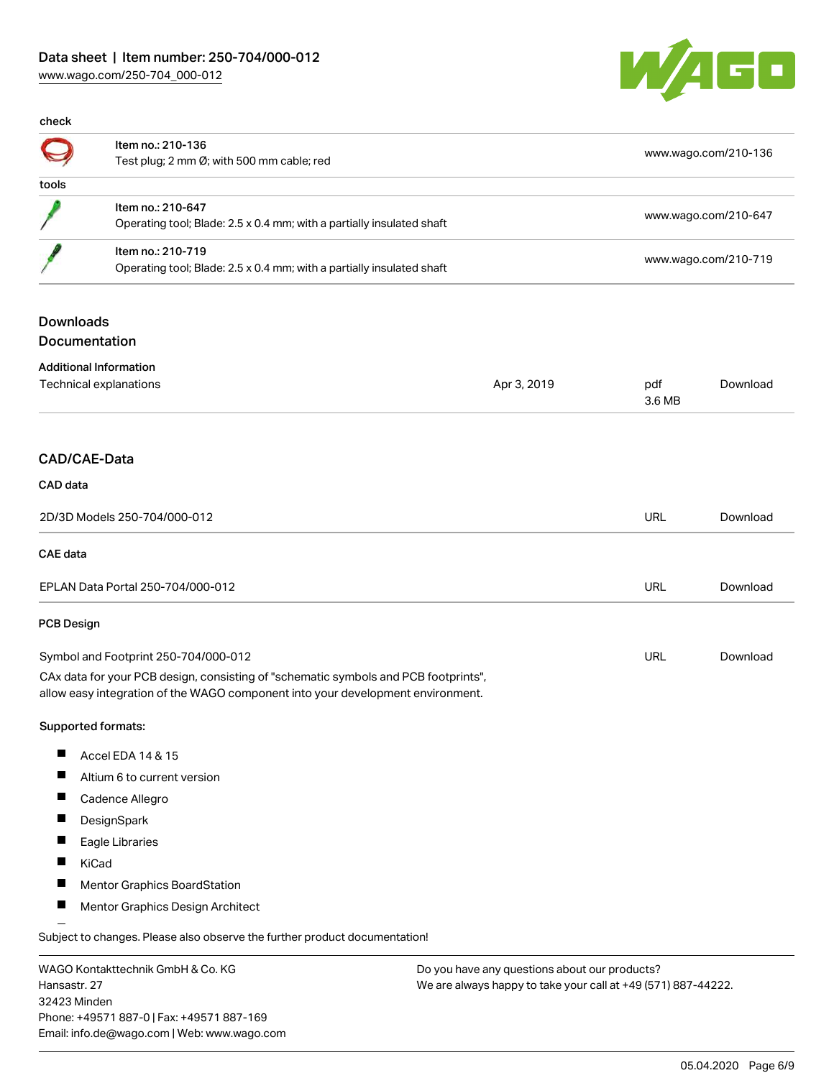## Data sheet | Item number: 250-704/000-012 [www.wago.com/250-704\\_000-012](http://www.wago.com/250-704_000-012)



| check |                                                                                            |                      |
|-------|--------------------------------------------------------------------------------------------|----------------------|
|       | Item no.: 210-136<br>Test plug; 2 mm Ø; with 500 mm cable; red                             | www.wago.com/210-136 |
| tools |                                                                                            |                      |
|       | Item no.: 210-647<br>Operating tool; Blade: 2.5 x 0.4 mm; with a partially insulated shaft | www.wago.com/210-647 |
|       | Item no.: 210-719<br>Operating tool; Blade: 2.5 x 0.4 mm; with a partially insulated shaft | www.wago.com/210-719 |
|       |                                                                                            |                      |

# Downloads

Documentation

| <b>Additional Information</b><br>Technical explanations                                                                                                                |                              | Apr 3, 2019 | pdf<br>3.6 MB | Download |
|------------------------------------------------------------------------------------------------------------------------------------------------------------------------|------------------------------|-------------|---------------|----------|
|                                                                                                                                                                        | CAD/CAE-Data                 |             |               |          |
| CAD data                                                                                                                                                               |                              |             |               |          |
| 2D/3D Models 250-704/000-012                                                                                                                                           |                              |             | <b>URL</b>    | Download |
| <b>CAE</b> data                                                                                                                                                        |                              |             |               |          |
| EPLAN Data Portal 250-704/000-012                                                                                                                                      |                              |             | URL           | Download |
| <b>PCB Design</b>                                                                                                                                                      |                              |             |               |          |
| Symbol and Footprint 250-704/000-012                                                                                                                                   |                              |             | URL           | Download |
| CAx data for your PCB design, consisting of "schematic symbols and PCB footprints",<br>allow easy integration of the WAGO component into your development environment. |                              |             |               |          |
|                                                                                                                                                                        | Supported formats:           |             |               |          |
| ш                                                                                                                                                                      | Accel EDA 14 & 15            |             |               |          |
| ш                                                                                                                                                                      | Altium 6 to current version  |             |               |          |
| П                                                                                                                                                                      | Cadence Allegro              |             |               |          |
| П                                                                                                                                                                      | DesignSpark                  |             |               |          |
|                                                                                                                                                                        | Eagle Libraries              |             |               |          |
| П                                                                                                                                                                      | KiCad                        |             |               |          |
| П                                                                                                                                                                      | Mentor Graphics BoardStation |             |               |          |

 $\blacksquare$ Mentor Graphics Design Architect

Subject to changes. Please also observe the further product documentation!

WAGO Kontakttechnik GmbH & Co. KG Hansastr. 27 32423 Minden Phone: +49571 887-0 | Fax: +49571 887-169 Email: info.de@wago.com | Web: www.wago.com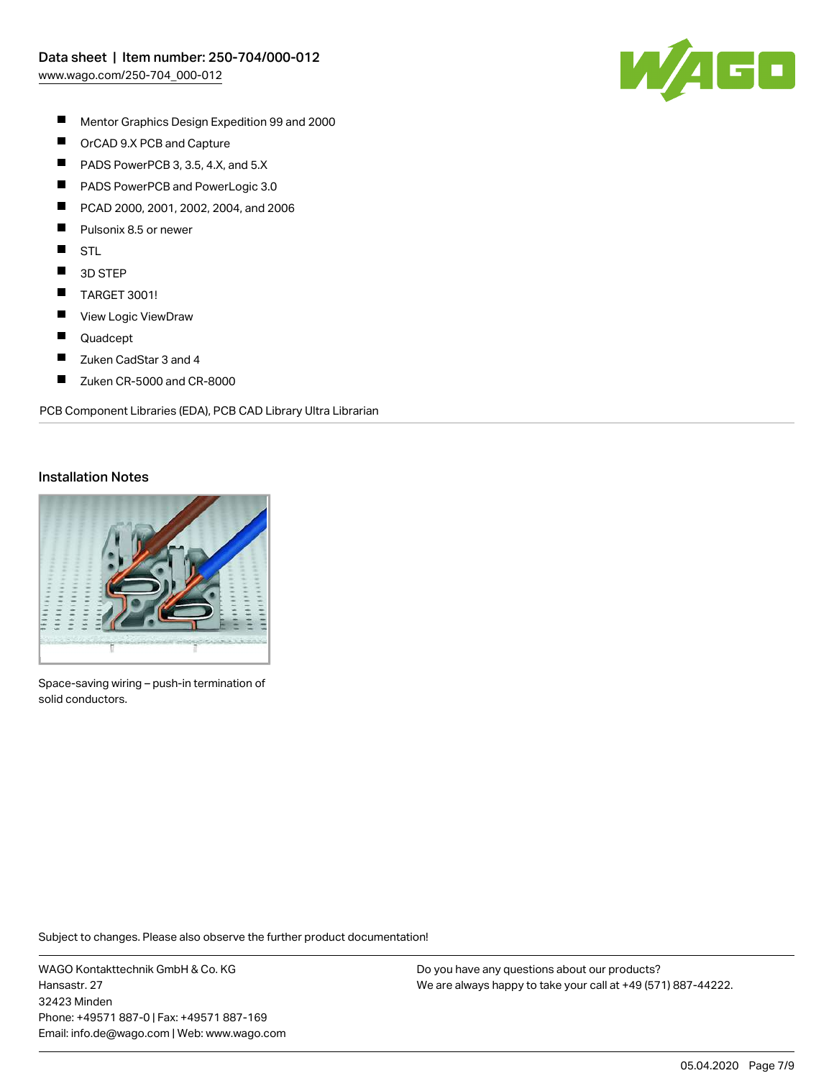

- $\blacksquare$ Mentor Graphics Design Expedition 99 and 2000
- $\blacksquare$ OrCAD 9.X PCB and Capture
- $\blacksquare$ PADS PowerPCB 3, 3.5, 4.X, and 5.X
- $\blacksquare$ PADS PowerPCB and PowerLogic 3.0
- П PCAD 2000, 2001, 2002, 2004, and 2006
- П Pulsonix 8.5 or newer
- $\blacksquare$ STL
- $\blacksquare$ 3D STEP
- $\blacksquare$ TARGET 3001!
- $\blacksquare$ View Logic ViewDraw
- $\blacksquare$ Quadcept
- $\blacksquare$ Zuken CadStar 3 and 4
- $\blacksquare$ Zuken CR-5000 and CR-8000

PCB Component Libraries (EDA), PCB CAD Library Ultra Librarian

#### Installation Notes



Space-saving wiring – push-in termination of solid conductors.

Subject to changes. Please also observe the further product documentation!

WAGO Kontakttechnik GmbH & Co. KG Hansastr. 27 32423 Minden Phone: +49571 887-0 | Fax: +49571 887-169 Email: info.de@wago.com | Web: www.wago.com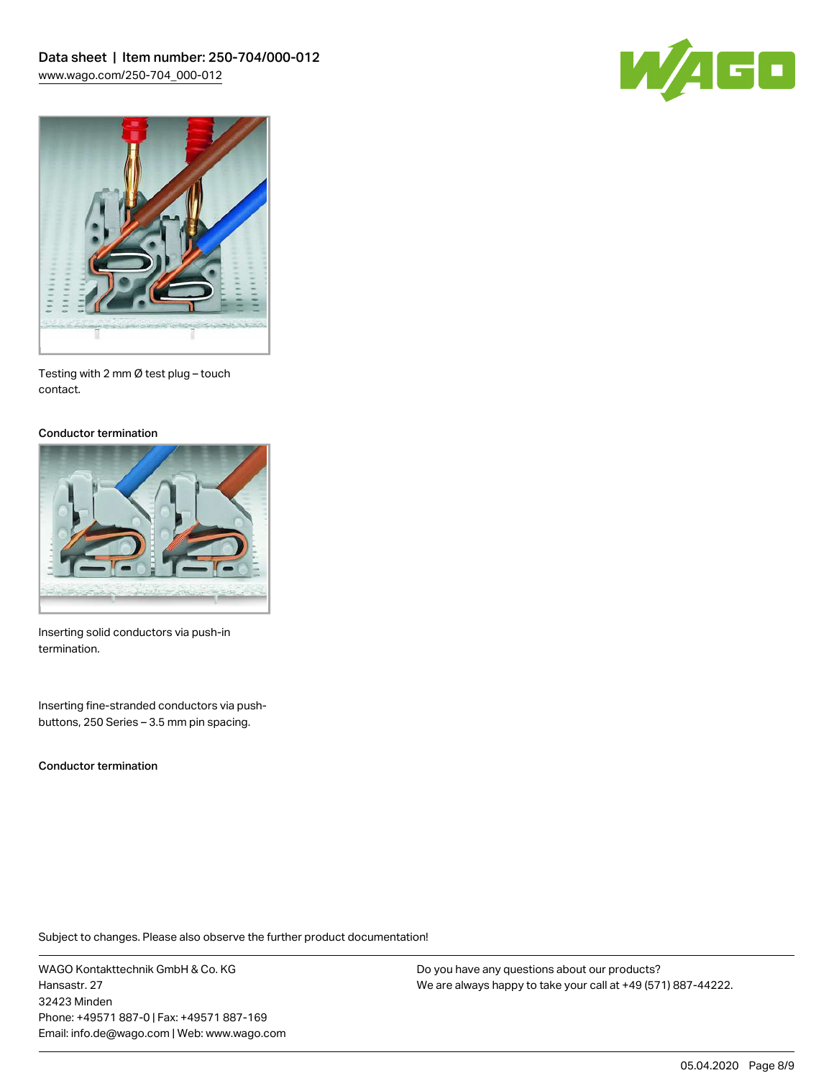



Testing with 2 mm Ø test plug – touch contact.

#### Conductor termination



Inserting solid conductors via push-in termination.

Inserting fine-stranded conductors via pushbuttons, 250 Series – 3.5 mm pin spacing.

Conductor termination

Subject to changes. Please also observe the further product documentation!

WAGO Kontakttechnik GmbH & Co. KG Hansastr. 27 32423 Minden Phone: +49571 887-0 | Fax: +49571 887-169 Email: info.de@wago.com | Web: www.wago.com